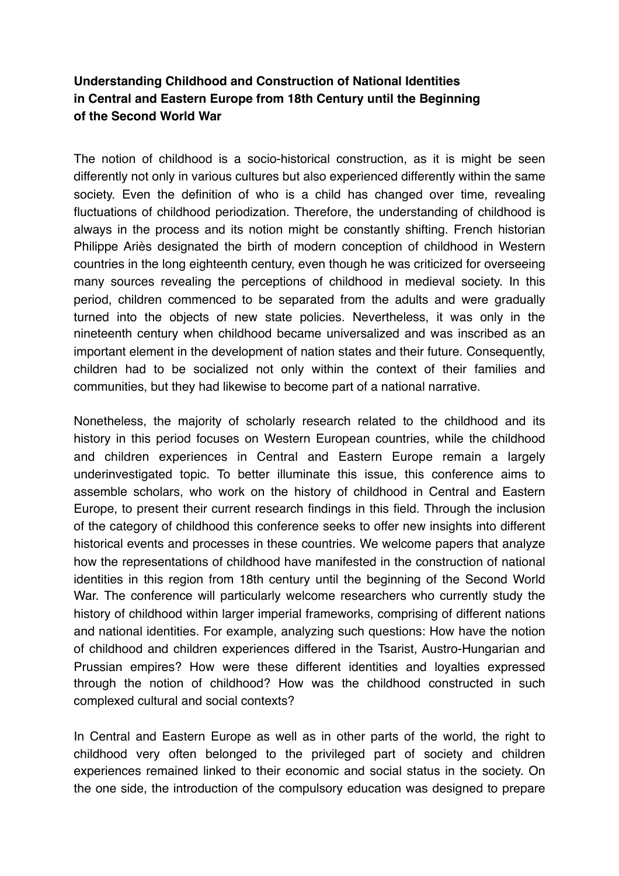## **Understanding Childhood and Construction of National Identities in Central and Eastern Europe from 18th Century until the Beginning of the Second World War**

The notion of childhood is a socio-historical construction, as it is might be seen differently not only in various cultures but also experienced differently within the same society. Even the definition of who is a child has changed over time, revealing fluctuations of childhood periodization. Therefore, the understanding of childhood is always in the process and its notion might be constantly shifting. French historian Philippe Ariès designated the birth of modern conception of childhood in Western countries in the long eighteenth century, even though he was criticized for overseeing many sources revealing the perceptions of childhood in medieval society. In this period, children commenced to be separated from the adults and were gradually turned into the objects of new state policies. Nevertheless, it was only in the nineteenth century when childhood became universalized and was inscribed as an important element in the development of nation states and their future. Consequently, children had to be socialized not only within the context of their families and communities, but they had likewise to become part of a national narrative.

Nonetheless, the majority of scholarly research related to the childhood and its history in this period focuses on Western European countries, while the childhood and children experiences in Central and Eastern Europe remain a largely underinvestigated topic. To better illuminate this issue, this conference aims to assemble scholars, who work on the history of childhood in Central and Eastern Europe, to present their current research findings in this field. Through the inclusion of the category of childhood this conference seeks to offer new insights into different historical events and processes in these countries. We welcome papers that analyze how the representations of childhood have manifested in the construction of national identities in this region from 18th century until the beginning of the Second World War. The conference will particularly welcome researchers who currently study the history of childhood within larger imperial frameworks, comprising of different nations and national identities. For example, analyzing such questions: How have the notion of childhood and children experiences differed in the Tsarist, Austro-Hungarian and Prussian empires? How were these different identities and loyalties expressed through the notion of childhood? How was the childhood constructed in such complexed cultural and social contexts?

In Central and Eastern Europe as well as in other parts of the world, the right to childhood very often belonged to the privileged part of society and children experiences remained linked to their economic and social status in the society. On the one side, the introduction of the compulsory education was designed to prepare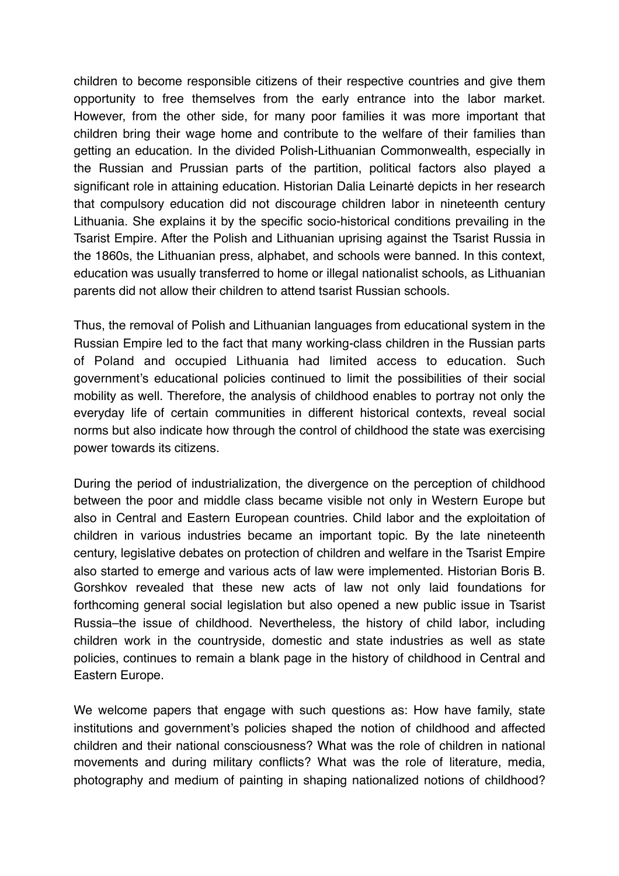children to become responsible citizens of their respective countries and give them opportunity to free themselves from the early entrance into the labor market. However, from the other side, for many poor families it was more important that children bring their wage home and contribute to the welfare of their families than getting an education. In the divided Polish-Lithuanian Commonwealth, especially in the Russian and Prussian parts of the partition, political factors also played a significant role in attaining education. Historian Dalia Leinartė depicts in her research that compulsory education did not discourage children labor in nineteenth century Lithuania. She explains it by the specific socio-historical conditions prevailing in the Tsarist Empire. After the Polish and Lithuanian uprising against the Tsarist Russia in the 1860s, the Lithuanian press, alphabet, and schools were banned. In this context, education was usually transferred to home or illegal nationalist schools, as Lithuanian parents did not allow their children to attend tsarist Russian schools.

Thus, the removal of Polish and Lithuanian languages from educational system in the Russian Empire led to the fact that many working-class children in the Russian parts of Poland and occupied Lithuania had limited access to education. Such government's educational policies continued to limit the possibilities of their social mobility as well. Therefore, the analysis of childhood enables to portray not only the everyday life of certain communities in different historical contexts, reveal social norms but also indicate how through the control of childhood the state was exercising power towards its citizens.

During the period of industrialization, the divergence on the perception of childhood between the poor and middle class became visible not only in Western Europe but also in Central and Eastern European countries. Child labor and the exploitation of children in various industries became an important topic. By the late nineteenth century, legislative debates on protection of children and welfare in the Tsarist Empire also started to emerge and various acts of law were implemented. Historian Boris B. Gorshkov revealed that these new acts of law not only laid foundations for forthcoming general social legislation but also opened a new public issue in Tsarist Russia–the issue of childhood. Nevertheless, the history of child labor, including children work in the countryside, domestic and state industries as well as state policies, continues to remain a blank page in the history of childhood in Central and Eastern Europe.

We welcome papers that engage with such questions as: How have family, state institutions and government's policies shaped the notion of childhood and affected children and their national consciousness? What was the role of children in national movements and during military conflicts? What was the role of literature, media, photography and medium of painting in shaping nationalized notions of childhood?